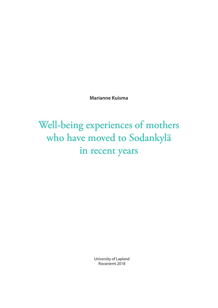**Marianne Kuisma**

# Well-being experiences of mothers who have moved to Sodankylä in recent years

University of Lapland Rovaniemi 2018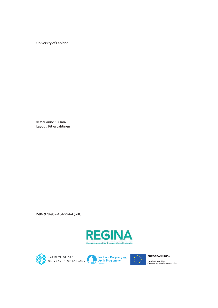University of Lapland

© Marianne Kuisma Layout: Ritva Lahtinen

ISBN 978-952-484-994-4 (pdf)





**323** LAPIN YLIOPISTO<br>SUNIVERSITY OF LAPLAND

Northern Periphery and<br>Arctic Programme<br>2014–2020



**EUROPEAN UNION** Investing in your future<br>European Regional Development Fund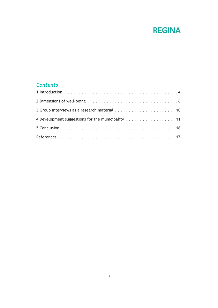### *Contents*

| 4 Development suggestions for the municipality 11 |  |
|---------------------------------------------------|--|
|                                                   |  |
|                                                   |  |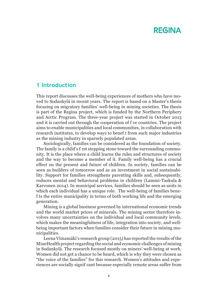#### **1 Introduction**

This report discusses the well-being experiences of mothers who have moved to Sodankylä in recent years. The report is based on a Master's thesis focusing on migratory families' well-being in mining societies. The thesis is part of the Regina project, which is funded by the Northern Periphery and Arctic Program. The three-year project was started in October 2015 and it is carried out through the cooperation of f ve countries. The project aims to enable municipalities and local communities, in collaboration with research institutes, to develop ways to benef t from such major industries as the mining industry in sparsely populated areas.

Sociologically, families can be considered as the foundation of society. The family is a child's f rst stepping stone toward the surrounding community. It is the place where a child learns the rules and structures of society and the way to become a member of it. Family well-being has a crucial effect on the present and future of children. In society, families can be seen as builders of tomorrow and as an investment in social sustainability. Support for families strengthens parenting skills and, subsequently, reduces mental and behavioral problems in children (Lammi-Taskula & Karvonen 2014). In municipal services, families should be seen as units in which each individual has a unique role. The well-being of families benef ts the entire municipality in terms of both working life and the emerging generation.

Mining is a global business governed by international economic trends and the world market prices of minerals. The mining sector therefore involves many uncertainties on the individual and local community levels, which makes the meaningfulness of life, integration into society, and wellbeing important factors when families consider their future in mining municipalities.

Leena Viinamäki's research group (2015) has reported the results of the MineHealth project regarding the social and economic challenges of mining in Sodankylä. The research focused mostly on miners' well-being at work. Women did not get a chance to be heard, which is why they were chosen as "the voice of the families" for this research. Women's attitudes and experiences are socially signif cant because especially remote areas suffer from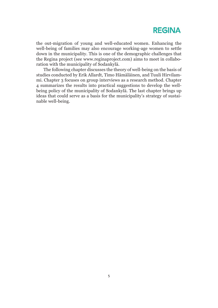the out-migration of young and well-educated women. Enhancing the well-being of families may also encourage working-age women to settle down in the municipality. This is one of the demographic challenges that the Regina project (see www.reginaproject.com) aims to meet in collaboration with the municipality of Sodankylä.

The following chapter discusses the theory of well-being on the basis of studies conducted by Erik Allardt, Timo Hämäläinen, and Tuuli Hirvilammi. Chapter 3 focuses on group interviews as a research method. Chapter 4 summarizes the results into practical suggestions to develop the wellbeing policy of the municipality of Sodankylä. The last chapter brings up ideas that could serve as a basis for the municipality's strategy of sustainable well-being.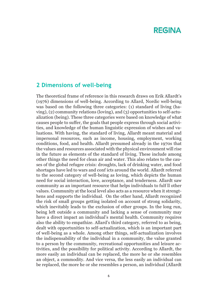#### **2 Dimensions of well-being**

The theoretical frame of reference in this research draws on Erik Allardt's (1976) dimensions of well-being. According to Allard, Nordic well-being was based on the following three categories: (1) standard of living (having), (2) community relations (loving), and (3) opportunities to self-actualization (being). These three categories were based on knowledge of what causes people to suffer, the goals that people express through social activities, and knowledge of the human linguistic expression of wishes and valuations. With having, the standard of living, Allardt meant material and impersonal resources, such as income, housing, employment, working conditions, food, and health. Allardt presumed already in the 1970s that the values and resources associated with the physical environment will rise in the future as elements of the standard of living. These include among other things the need for clean air and water. This also relates to the causes of the global refugee crisis: droughts, lack of drinking water, and food shortages have led to wars and conf icts around the world. Allardt referred to the second category of well-being as loving, which depicts the human need for social interaction, love, acceptance, and tenderness. Allardt saw community as an important resource that helps individuals to fulf ll other values. Community at the local level also acts as a resource when it strengthens and supports the individual. On the other hand, Allardt recognized the risk of small groups getting isolated on account of strong solidarity, which inevitably leads to the exclusion of other groups. In the long run, being left outside a community and lacking a sense of community may have a direct impact an individual's mental health. Community requires also the ability to empathize. Allard's third category, referred to as being, dealt with opportunities to self-actualization, which is an important part of well-being as a whole. Among other things, self-actualization involves the indispensability of the individual in a community, the value granted to a person by the community, recreational opportunities and leisure activities, and the possibility for political activity. According to Allardt, the more easily an individual can be replaced, the more he or she resembles an object, a commodity. And vice versa, the less easily an individual can be replaced, the more he or she resembles a person, an individual (Allardt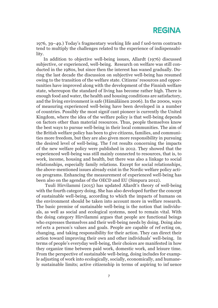1976, 39–49.) Today's fragmentary working life and f xed-term contracts tend to multiply the challenges related to the experience of indispensability.

In addition to objective well-being issues, Allardt (1976) discussed subjective, or experienced, well-being. Research on welfare was still conducted in the 1980s, but since then the interest has waned gradually. During the last decade the discussion on subjective well-being has resumed owing to the transition of the welfare state. Citizens' resources and opportunities have improved along with the development of the Finnish welfare state, whereupon the standard of living has become rather high. There is enough food and water, the health and housing conditions are satisfactory, and the living environment is safe (Hämäläinen 2006). In the 2000s, ways of measuring experienced well-being have been developed in a number of countries. Possibly the most signif cant pioneer is currently the United Kingdom, where the idea of the welfare policy is that well-being depends on factors other than material resources. Thus, people themselves know the best ways to pursue well-being in their local communities. The aim of the British welfare policy has been to give citizens, families, and communities more freedom, but they are also given more responsibility in pursuing the desired level of well-being. The f rst results concerning the impacts of the new welfare policy were published in 2012. They showed that the experienced well-being was still mainly connected to resources, that is, to work, income, housing and health, but there was also a linkage to social relationships, especially family relations. Except for social relationships, the above-mentioned issues already exist in the Nordic welfare policy action programs. Enhancing the measurement of experienced well-being has been also on the agendas of the OECD and EU (Simpura 2012).

 Tuuli Hirvilammi (2015) has updated Allardt's theory of well-being with the fourth category doing. She has also developed further the concept of sustainable well-being, according to which the impacts of humans on the environment should be taken into account more in welfare research. The basic premise of sustainable well-being is the notion that individuals, as well as social and ecological systems, need to remain vital. With the doing category Hirvilammi argues that people are functional beings who expresses themselves and their well-being needs by doing. Doing also ref ects a person's values and goals. People are capable of ref ecting on, changing, and taking responsibility for their action. They can direct their action toward improving their own and other individuals' well-being. In terms of people's everyday well-being, their choices are manifested in how they organize time between paid work, domestic work, and leisure time. From the perspective of sustainable well-being, doing includes for example adjusting of work into ecologically, socially, economically, and humanely sustainable limits; active citizenship in terms of aspiring to inf uence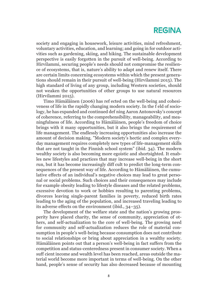society and engaging in housework, leisure activities, mind refreshment, voluntary activities, education, and learning; and going in for outdoor activities such as gardening, skiing, and hiking. The sustainable development perspective is easily forgotten in the pursuit of well-being. According to Hirvilammi, securing people's needs should not compromise the resilience of ecosystems, that is, nature's ability to adapt and renew itself. There are certain limits concerning ecosystems within which the present generations should remain in their pursuit of well-being (Hirvilammi 2015). The high standard of living of any group, including Western societies, should not weaken the opportunities of other groups to use natural resources (Hirvilammi 2015).

Timo Hämäläinen (2006) has ref ected on the well-being and cohesiveness of life in the rapidly changing modern society. In the f eld of sociology, he has expanded and continued def ning Aaron Antonovsky's concept of coherence, referring to the comprehensibility, manageability, and meaningfulness of life. According to Hämäläinen, people's freedom of choice brings with it many opportunities, but it also brings the requirement of life management. The endlessly increasing opportunities also increase the amount of decision making. "Modern society's hectic and complex everyday management requires completely new types of life-management skills that are not taught in the Finnish school system" (ibid. 34). The modern wealthy society is also becoming more egoistic and shortsighted. It enables new lifestyles and practices that may increase well-being in the short run, but it has become increasingly diff cult to predict the long-term consequences of the present way of life. According to Hämäläinen, the cumulative effects of an individual's negative choices may lead to great personal or social problems. Such choices and their consequences may include for example obesity leading to lifestyle diseases and the related problems, excessive devotion to work or hobbies resulting to parenting problems, divorces leaving single-parent families in poverty, reduced birth rates leading to the aging of the population, and increased traveling leading to its adverse effects on the environment (ibid., 34–35).

The development of the welfare state and the nation's growing prosperity have placed charity, the sense of community, appreciation of others, and self-actualization to the core of well-being. The growing need for community and self-actualization reduces the role of material consumption in people's well-being because consumption does not contribute to social relationships or bring about appreciation in a wealthy society. Hämäläinen points out that a person's well-being in fact suffers from the competition and status-centeredness present in consumer society. When a suff cient income and wealth level has been reached, areas outside the material world become more important in terms of well-being. On the other hand, people's sense of security has also decreased because of mounting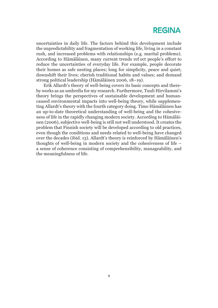uncertainties in daily life. The factors behind this development include the unpredictability and fragmentation of working life, living in a constant rush, and increased problems with relationships (e.g. marital problems). According to Hämäläinen, many current trends ref ect people's effort to reduce the uncertainties of everyday life. For example, people decorate their homes as safe nesting places; long for simplicity, peace and quiet; downshift their lives; cherish traditional habits and values; and demand strong political leadership (Hämäläinen 2006, 18–19).

Erik Allardt's theory of well-being covers its basic concepts and thereby works as an umbrella for my research. Furthermore, Tuuli Hirvilammi's theory brings the perspectives of sustainable development and humancaused environmental impacts into well-being theory, while supplementing Allardt's theory with the fourth category doing. Timo Hämäläinen has an up-to-date theoretical understanding of well-being and the cohesiveness of life in the rapidly changing modern society. According to Hämäläinen (2006), subjective well-being is still not well understood. It creates the problem that Finnish society will be developed according to old practices, even though the conditions and needs related to well-being have changed over the decades (ibid. 13). Allardt's theory is reinforced by Hämäläinen's thoughts of well-being in modern society and the cohesiveness of life – a sense of coherence consisting of comprehensibility, manageability, and the meaningfulness of life.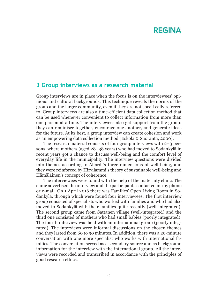#### **3 Group interviews as a research material**

Group interviews are in place when the focus is on the interviewees' opinions and cultural backgrounds. This technique reveals the norms of the group and the larger community, even if they are not specif cally referred to. Group interviews are also a time-eff cient data collection method that can be used whenever convenient to collect information from more than one person at a time. The interviewees also get support from the group: they can reminisce together, encourage one another, and generate ideas for the future. At its best, a group interview can create cohesion and work as an empowering data collection method (Eskola & Suoranta, 2000).

The research material consists of four group interviews with 2–3 persons, where mothers (aged 28–38 years) who had moved to Sodankylä in recent years got a chance to discuss well-being and the comfort level of everyday life in the municipality. The interview questions were divided into themes according to Allardt's three dimensions of well-being, and they were reinforced by Hirvilammi's theory of sustainable well-being and Hämäläinen's concept of coherence.

The interviewees were found with the help of the maternity clinic. The clinic advertised the interview and the participants contacted me by phone or e-mail. On 1 April 2016 there was Families' Open Living Room in Sodankylä, through which were found four interviewees. The f rst interview group consisted of specialists who worked with families and who had also moved to Sodankylä with their families quite recently (well-integrated). The second group came from Sattanen village (well-integrated) and the third one consisted of mothers who had small babies (poorly integrated). The fourth interview was held with an international group (poorly integrated). The interviews were informal discussions on the chosen themes and they lasted from 60 to 90 minutes. In addition, there was a 20-minute conversation with one more specialist who works with international families. The conversation served as a secondary source and as background information for the interview with the international group. All the interviews were recorded and transcribed in accordance with the principles of good research ethics.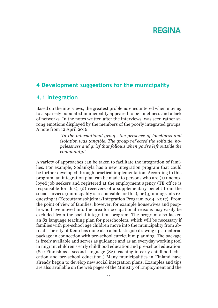#### **4 Development suggestions for the municipality**

#### **4.1 Integration**

Based on the interviews, the greatest problems encountered when moving to a sparsely populated municipality appeared to be loneliness and a lack of networks. In the notes written after the interviews, was seen rather strong emotions displayed by the members of the poorly integrated groups. A note from 12 April 2016:

> *"In the international group, the presence of loneliness and isolation was tangible. The group ref ected the solitude, hopelessness and grief that follows when you're left outside the community."*

A variety of approaches can be taken to facilitate the integration of families. For example, Sodankylä has a new integration program that could be further developed through practical implementation. According to this program, an integration plan can be made to persons who are (1) unemployed job seekers and registered at the employment agency (TE off ce is responsible for this), (2) receivers of a supplementary benef t from the social services (municipality is responsible for this), or (3) immigrants requesting it (Kotouttamisohjelma/Integration Program 2014–2017). From the point of view of families, however, for example housewives and people who have moved into the area for occupational reasons may easily be excluded from the social integration program. The program also lacked an S2 language teaching plan for preschoolers, which will be necessary if families with pre-school age children move into the municipality from abroad. The city of Kemi has done also a fantastic job drawing up a material package in connection with pre-school curriculum planning. The package is freely available and serves as guidance and as an everyday working tool in migrant children's early childhood education and pre-school education. (See Finnish as a second language (S2) teaching in early childhood education and pre-school education.) Many municipalities in Finland have already begun to develop new social integration plans. Examples and tips are also available on the web pages of the Ministry of Employment and the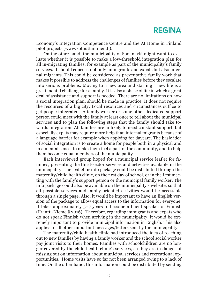Economy's Integration Competence Centre and the At Home in Finland pilot projects (www.kotouttaminen.f ).

On the other hand, the municipality of Sodankylä might want to evaluate whether it is possible to make a low-threshold integration plan for all in-migrating families, for example as part of the municipality's family services. It should concern not only immigrants and expats but also internal migrants. This could be considered as preventative family work that makes it possible to address the challenges of families before they escalate into serious problems. Moving to a new area and starting a new life is a great mental challenge for a family. It is also a phase of life in which a great deal of assistance and support is needed. There are no limitations on how a social integration plan, should be made in practice. It does not require the resources of a big city. Local resources and circumstances suff ce to get people integrated. A family worker or some other dedicated support person could meet with the family at least once to tell about the municipal services and to plan the following steps that the family should take towards integration. All families are unlikely to need constant support, but especially expats may require more help than internal migrants because of a language barrier for example when applying for daycare. The basic idea of social integration is to create a home for people both in a physical and in a mental sense, to make them feel a part of the community, and to help them become equal members of the municipality.

Each interviewed group hoped for a municipal service leaf et for families, presenting the third-sector services and activities available in the municipality. The leaf et or info package could be distributed through the maternity/child health clinic, on the f rst day of school, or in the f rst meeting with the family's support person or the municipal family worker. The info package could also be available on the municipality's website, so that all possible services and family-oriented activities would be accessible through a single page. Also, it would be important to have an English version of the package to allow equal access to the information for everyone. It takes approximately 5–7 years to become a f uent speaker of Finnish (Frantti-Niemelä 2016). Therefore, regarding immigrants and expats who do not speak Finnish when arriving in the municipality, it would be extremely important to provide municipal information in English. This also applies to all other important messages/letters sent by the municipality.

The maternity/child health clinic had introduced the idea of reaching out to new families by having a family worker and the school social worker pay joint visits to their homes. Families with schoolchildren are no longer covered by the child health clinic's services, so they are in danger of missing out on information about municipal services and recreational opportunities. Home visits have so far not been arranged owing to a lack of time. On the other hand, this information could be distributed by sending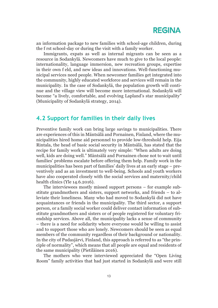an information package to new families with school-age children, during the f rst school-day or during the visit with a family worker.

Immigrants, expats as well as internal migrants can be seen as a resource in Sodankylä. Newcomers have much to give to the local people: internationality, language immersion, new recreation groups, expertise in their own f eld, and new ideas and innovations. Well-functioning municipal services need people. When newcomer families get integrated into the community, highly educated workforce and services will remain in the municipality. In the case of Sodankylä, the population growth will continue and the village view will become more international. Sodankylä will become "a lively, comfortable, and evolving Lapland's star municipality" (Municipality of Sodankylä strategy, 2014).

#### **4.2 Support for families in their daily lives**

Preventive family work can bring large savings to municipalities. There are experiences of this in Mäntsälä and Pornainen, Finland, where the municipalities hired home aid personnel to provide low-threshold help. Eija Rintala, the head of basic social security in Mäntsälä, has stated that the recipe for family work is ultimately very simple: "When adults are doing well, kids are doing well." Mäntsälä and Pornainen chose not to wait until families' problems escalate before offering them help. Family work in the municipalities has been part of families' daily lives at an early stage – preventively and as an investment to well-being. Schools and youth workers have also cooperated closely with the social services and maternity/child health clinics (Yle 14.6.2016).

The interviewees mostly missed support persons – for example substitute grandmothers and sisters, support networks, and friends – to alleviate their loneliness. Many who had moved to Sodankylä did not have acquaintances or friends in the municipality. The third sector, a support person, or a family social worker could deliver contact information of substitute grandmothers and sisters or of people registered for voluntary friendship services. Above all, the municipality lacks a sense of community – there is a need for solidarity where everyone would be willing to assist and to support those who are lonely. Newcomers should be seen as equal members of the community regardless of their background or nationality. In the city of Pudasjärvi, Finland, this approach is referred to as "the principle of normality", which means that all people are equal and residents of the same municipality (Pietiläinen 2016).

The mothers who were interviewed appreciated the "Open Living Room" family activities that had just started in Sodankylä and were still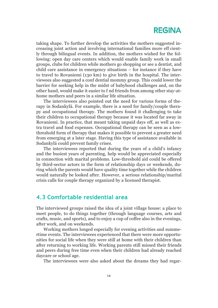taking shape. To further develop the activities the mothers suggested increasing joint action and involving international families more eff ciently through bilingual events. In addition, the mothers wished for the following: open day care centers which would enable family work in small groups, clubs for children while mothers go shopping or see a dentist, and child care assistance in emergency situations – for instance if they have to travel to Rovaniemi (130 km) to give birth in the hospital. The interviewees also suggested a conf dential mommy group. This could lower the barrier for seeking help in the midst of babyhood challenges and, on the other hand, would make it easier to f nd friends from among other stay-athome mothers and peers in a similar life situation.

The interviewees also pointed out the need for various forms of therapy in Sodankylä. For example, there is a need for family/couple therapy and occupational therapy. The mothers found it challenging to take their children to occupational therapy because it was located far away in Rovaniemi. In practice, that meant taking unpaid days off, as well as extra travel and food expenses. Occupational therapy can be seen as a lowthreshold form of therapy that makes it possible to prevent a greater need from emerging at a later stage. Having this type of assistance available in Sodankylä could prevent family crises.

The interviewees reported that during the years of a child's infancy and the busiest years of parenting, help would be appreciated especially in connection with marital problems. Low-threshold aid could be offered by third-sector actors in the form of relationship days or weekends, during which the parents would have quality time together while the children would naturally be looked after. However, a serious relationship/marital crisis calls for couple therapy organized by a licensed therapist.

#### **4.3 Comfortable residential area**

The interviewed groups raised the idea of a joint village house: a place to meet people, to do things together (through language courses, arts and crafts, music, and sports), and to enjoy a cup of coffee also in the evenings, after work, and on weekends.

Working mothers longed especially for evening activities and summertime events. The interviewees experienced that there were more opportunities for social life when they were still at home with their children than after returning to working life. Working parents still missed their friends and peers during free time even when their children had already reached daycare or school age.

The interviewees were also asked about the dreams they had regar-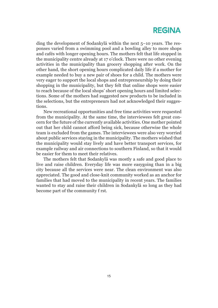ding the development of Sodankylä within the next 5–10 years. The responses varied from a swimming pool and a bowling alley to more shops and cafés with longer opening hours. The mothers felt that life stopped in the municipality centre already at 17 o'clock. There were no other evening activities in the municipality than grocery shopping after work. On the other hand, the short opening hours complicated daily life if a mother for example needed to buy a new pair of shoes for a child. The mothers were very eager to support the local shops and entrepreneurship by doing their shopping in the municipality, but they felt that online shops were easier to reach because of the local shops' short opening hours and limited selections. Some of the mothers had suggested new products to be included in the selections, but the entrepreneurs had not acknowledged their suggestions.

New recreational opportunities and free time activities were requested from the municipality. At the same time, the interviewees felt great concern for the future of the currently available activities. One mother pointed out that her child cannot afford being sick, because otherwise the whole team is excluded from the games. The interviewees were also very worried about public services staying in the municipality. The mothers wished that the municipality would stay lively and have better transport services, for example railway and air connections to southern Finland, so that it would be easier for them to meet their relatives.

The mothers felt that Sodankylä was mostly a safe and good place to live and raise children. Everyday life was more easygoing than in a big city because all the services were near. The clean environment was also appreciated. The good and close-knit community worked as an anchor for families that had moved to the municipality in recent years. The families wanted to stay and raise their children in Sodankylä so long as they had become part of the community f rst.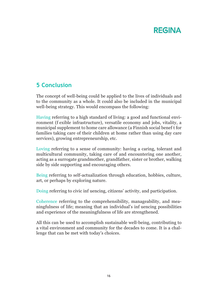### **5 Conclusion**

The concept of well-being could be applied to the lives of individuals and to the community as a whole. It could also be included in the municipal well-being strategy. This would encompass the following:

Having referring to a high standard of living: a good and functional environment (f exible infrastructure), versatile economy and jobs, vitality, a municipal supplement to home care allowance (a Finnish social benef t for families taking care of their children at home rather than using day care services), growing entrepreneurship, etc.

Loving referring to a sense of community: having a caring, tolerant and multicultural community, taking care of and encountering one another, acting as a surrogate grandmother, grandfather, sister or brother, walking side by side supporting and encouraging others.

Being referring to self-actualization through education, hobbies, culture, art, or perhaps by exploring nature.

Doing referring to civic inf uencing, citizens' activity, and participation.

Coherence referring to the comprehensibility, manageability, and meaningfulness of life; meaning that an individual's inf uencing possibilities and experience of the meaningfulness of life are strengthened.

All this can be used to accomplish sustainable well-being, contributing to a vital environment and community for the decades to come. It is a challenge that can be met with today's choices.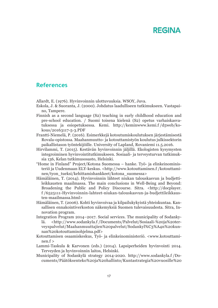#### **References**

Allardt, E. (1976). Hyvinvoinnin ulottuvuuksia. WSOY, Juva.

- Eskola, J. & Suoranta, J. (2000). Johdatus laadulliseen tutkimukseen. Vastapaino, Tampere.
- Finnish as a second language (S2) teaching in early childhood education and pre-school education. / Suomi toisena kielenä (S2) opetus varhaiskasvatuksessa ja esiopetuksessa. Kemi. http://keminwww.kemi.f /d5web/kokous/20163117-5-3.PDF
- Frantti-Niemelä, P. (2016). Esimerkkejä kotoutumiskoulutuksen järjestämisestä Rovala-opistossa. Maahanmuutto- ja kotouttamistyön koulutus julkissektorin paikallistason työntekijöille. University of Lapland, Rovaniemi 11.5.2016.
- Hirvilammi, T. (2015). Kestävän hyvinvoinnin jäljillä. Ekologisten kysymysten integroiminen hyvinvointitutkimukseen. Sosiaali- ja terveysturvan tutkimuksia 136, Kelan tutkimusosasto, Helsinki.
- "Home in Finland" Project/Kotona Suomessa hanke. Työ- ja elinkeinoministeriö ja Uudenmaan ELY-keskus. <http://www.kotouttaminen.f /kotouttaminen/tyon\_tueksi/kehittamishankkeet/kotona\_suomessa>
- Hämäläinen, T. (2014). Hyvinvoinnin lähteet niukan talouskasvun ja budjettileikkausten maailmassa. The main conclusions in Well-Being and Beyond: Broadening the Public and Policy Discourse. Sitra. <http://docplayer. f /6525111-Hyvinvoinnin-lahteet-niukan-talouskasvun-ja-budjettileikkausten-maailmassa.html>
- Hämäläinen, T. (2006). Kohti hyvinvoivaa ja kilpailukykyistä yhteiskuntaa. Kansallisen ennakointiverkoston näkemyksiä Suomen tulevaisuudesta. Sitra, Innovation program.
- Integration Program 2014–2017. Social services. The municipality of Sodankylä. <http://www.sodankyla.f /Documents/Palvelut/Sosiaali-%20ja%20terveyspalvelut/Maahanmuuttajien%20palvelut/Sodankyl%C3%A4n%20kunnan%20kotouttamisohjelma.pdf>
- Kotouttamisen osaamiskeskus, Työ- ja elinkeinoministeriö. <www.kotouttaminen.f >
- Lammi-Taskula & Karvonen (eds.) (2014). Lapsiperheiden hyvinvointi 2014. Terveyden ja hyvinvoinnin laitos, Helsinki.
- Municipality of Sodankylä strategy 2014-2020. http://www.sodankyla.f /Documents/Päätöksenteko%20ja%20hallinto/Kuntastrategia%20vuosille%20